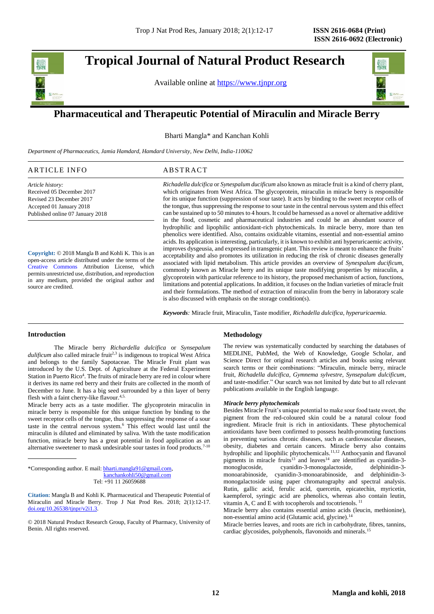## **Tropical Journal of Natural Product Research**

Available online at [https://www.tjnpr.org](https://www.tjnpr.org/)



### . **Pharmaceutical and Therapeutic Potential of Miraculin and Miracle Berry**

Bharti Mangla\* and Kanchan Kohli

*Department of Pharmaceutics, Jamia Hamdard, Hamdard University, New Delhi, India-110062*

| АK<br>л.<br>. |  |
|---------------|--|
|               |  |

*Article history:* Received 05 December 2017 Revised 23 December 2017 Accepted 01 January 2018 Published online 07 January 2018

**Copyright:** © 2018 Mangla B and Kohli K. This is an open-access article distributed under the terms of the [Creative Commons](https://creativecommons.org/licenses/by/4.0/) Attribution License, which permits unrestricted use, distribution, and reproduction in any medium, provided the original author and source are credited.

*Richadella dulcifica* or *Synespalum ducificum* also known as miracle fruit is a kind of cherry plant, which originates from West Africa. The glycoprotein, miraculin in miracle berry is responsible for its unique function (suppression of sour taste). It acts by binding to the sweet receptor cells of the tongue, thus suppressing the response to sour taste in the central nervous system and this effect can be sustained up to 50 minutes to 4 hours. It could be harnessed as a novel or alternative additive in the food, cosmetic and pharmaceutical industries and could be an abundant source of hydrophilic and lipophilic antioxidant-rich phytochemicals. In miracle berry, more than ten phenolics were identified. Also, contains oxidizable vitamins, essential and non-essential amino acids. Its application is interesting, particularly, it is known to exhibit anti hyperuricaemic activity, improves dysgeusia, and expressed in transgenic plant. This review is meant to enhance the fruits' acceptability and also promotes its utilization in reducing the risk of chronic diseases generally associated with lipid metabolism. This article provides an overview of *Synespalum ducificum,* commonly known as Miracle berry and its unique taste modifying properties by miraculin, a glycoprotein with particular reference to its history, the proposed mechanism of action, functions, limitations and potential applications. In addition, it focuses on the Indian varieties of miracle fruit and their formulations. The method of extraction of miraculin from the berry in laboratory scale is also discussed with emphasis on the storage condition(s).

*Keywords:* Miracle fruit, Miraculin, Taste modifier, *Richadella dulcifica, hyperuricaemia.*

#### **Introduction**

The Miracle berry *Richardella dulcifica* or *Synsepalum dulificum* also called miracle fruit<sup>2,3</sup> is indigenous to tropical West Africa and belongs to the family Sapotaceae. The Miracle Fruit plant was introduced by the U.S. Dept. of Agriculture at the Federal Experiment Station in Puerto Rico<sup>4</sup>. The fruits of miracle berry are red in colour where it derives its name red berry and their fruits are collected in the month of December to June. It has a big seed surrounded by a thin layer of berry flesh with a faint cherry-like flavour.<sup>4,5.</sup>

Miracle berry acts as a taste modifier. The glycoprotein miraculin in miracle berry is responsible for this unique function by binding to the sweet receptor cells of the tongue, thus suppressing the response of a sour taste in the central nervous system.<sup>6</sup> This effect would last until the miraculin is diluted and eliminated by saliva. With the taste modification function, miracle berry has a great potential in food application as an alternative sweetener to mask undesirable sour tastes in food products.<sup>7-10</sup>

\*Corresponding author. E mail[: bharti.mangla91@gmail.com,](mailto:bharti.mangla91@gmail.com) [kanchankohli50@gmail.com](mailto:kanchankohli50@gmail.com)

Tel: +91 11 26059688

**Citation:** Mangla B and Kohli K. Pharmaceutical and Therapeutic Potential of Miraculin and Miracle Berry. Trop J Nat Prod Res. 2018; 2(1):12-17. [doi.org/10.26538/tjnpr/v2i1.3](http://www.doi.org/10.26538/tjnpr/v1i4.5).

© 2018 Natural Product Research Group, Faculty of Pharmacy, University of Benin. All rights reserved.

#### **Methodology**

The review was systematically conducted by searching the databases of MEDLINE, PubMed, the Web of Knowledge, Google Scholar, and Science Direct for original research articles and books using relevant search terms or their combinations: "Miraculin, miracle berry, miracle fruit, *Richadella dulcifica, Gymnema sylvestre, Synsepalum dulcificum*, and taste-modifier." Our search was not limited by date but to all relevant publications available in the English language.

#### *Miracle berry phytochemicals*

Besides Miracle Fruit's unique potential to make sour food taste sweet, the pigment from the red-coloured skin could be a natural colour food ingredient. Miracle fruit is rich in antioxidants. These phytochemical antioxidants have been confirmed to possess health-promoting functions in preventing various chronic diseases, such as cardiovascular diseases, obesity, diabetes and certain cancers. Miracle berry also contains hydrophilic and lipophilic phytochemicals.<sup>11,12</sup> Anthocyanin and flavanol pigments in miracle fruits<sup>13</sup> and leaves<sup>14</sup> are identified as cyanidin-3monoglucoside, cyanidin-3-monogalactoside, delphinidin-3 monoarabinoside, cyanidin-3-monoarabinoside, and delphinidin-3 monogalactoside using paper chromatography and spectral analysis. Rutin, gallic acid, ferulic acid, quercetin, epicatechin, myricetin, kaempferol, syringic acid are phenolics, whereas also contain leutin, vitamin A, C and E with tocopherols and tocotrienols. <sup>11</sup>

Miracle berry also contains essential amino acids (leucin, methionine), non-essential amino acid (Glutamic acid, glycine).<sup>14</sup>

Miracle berries leaves, and roots are rich in carbohydrate, fibres, tannins, cardiac glycosides, polyphenols, flavonoids and minerals.<sup>15</sup>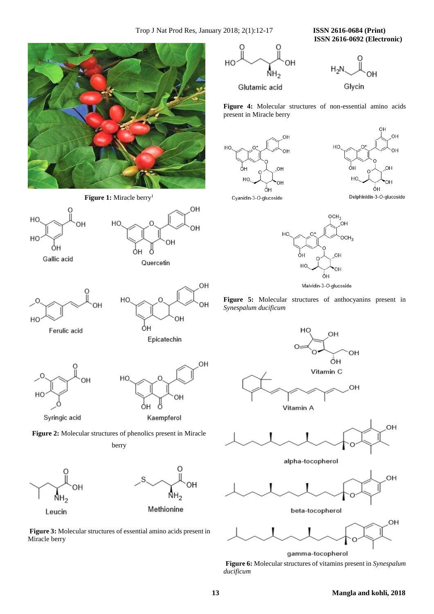**ISSN 2616-0692 (Electronic)** 



HO

HO

HC





Glycin







Cyanidin-3-O-glucoside





**Figure 5:** Molecular structures of anthocyanins present in *Synespalum ducificum*





alpha-tocopherol



gamma-tocopherol **Figure 6:** Molecular structures of vitamins present in *Synespalum ducificum*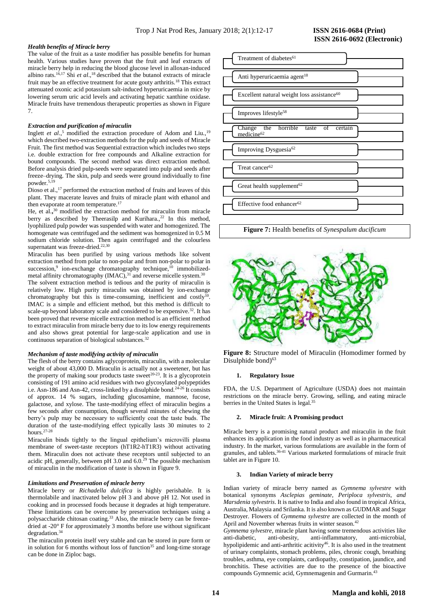#### *Health benefits of Miracle berry*

The value of the fruit as a taste modifier has possible benefits for human health. Various studies have proven that the fruit and leaf extracts of miracle berry help in reducing the blood glucose level in alloxan-induced albino rats.<sup>16,17</sup> Shi *et al.*,<sup>18</sup> described that the butanol extracts of miracle fruit may be an effective treatment for acute gouty arthritis.<sup>18</sup> This extract attenuated oxonic acid potassium salt-induced hyperuricaemia in mice by lowering serum uric acid levels and activating hepatic xanthine oxidase. Miracle fruits have tremendous therapeutic properties as shown in Figure 7.

#### *Extraction and purification of miraculin*

Inglett et al.,<sup>5</sup> modified the extraction procedure of Adom and Liu.,<sup>19</sup> which described two-extraction methods for the pulp and seeds of Miracle Fruit. The first method was Sequential extraction which includes two steps i.e. double extraction for free compounds and Alkaline extraction for bound compounds. The second method was direct extraction method. Before analysis dried pulp-seeds were separated into pulp and seeds after freeze–drying. The skin, pulp and seeds were ground individually to fine powder.5,19

Dioso et al.,<sup>17</sup> performed the extraction method of fruits and leaves of this plant. They macerate leaves and fruits of miracle plant with ethanol and then evaporate at room temperature.<sup>17</sup>

He, et al.**,** <sup>30</sup> modified the extraction method for miraculin from miracle berry as described by Theerasilp and Kurihara.,<sup>22</sup> In this method, lyophilized pulp powder was suspended with water and homogenized. The homogenate was centrifuged and the sediment was homogenized in 0.5 M sodium chloride solution. Then again centrifuged and the colourless supernatant was freeze-dried.<sup>22,30</sup>

Miraculin has been purified by using various methods like solvent extraction method from polar to non-polar and from non-polar to polar in succession,<sup>9</sup> ion-exchange chromatography technique,<sup>10</sup> immobilizedmetal affinity chromatography  $(IMAC)$ ,<sup>31</sup> and reverse micelle system.<sup>30</sup>

The solvent extraction method is tedious and the purity of miraculin is relatively low. High purity miraculin was obtained by ion-exchange chromatography but this is time-consuming, inefficient and costly<sup>10</sup>. IMAC is a simple and efficient method, but this method is difficult to scale-up beyond laboratory scale and considered to be expensive.<sup>32</sup>. It has been proved that reverse micelle extraction method is an efficient method to extract miraculin from miracle berry due to its low energy requirements and also shows great potential for large-scale application and use in continuous separation of biological substances.<sup>32</sup>

#### *Mechanism of taste modifying activity of miraculin*

The flesh of the berry contains aglycoprotein, miraculin, with a molecular weight of about 43,000 D. Miraculin is actually not a sweetener, but has the property of making sour products taste sweet<sup>20-23</sup>. It is a glycoprotein consisting of 191 amino acid residues with two glycosylated polypeptides i.e. Asn-186 and Asn-42, cross-linked by a disulphide bond.<sup>24-26</sup> It consists of approx. 14 % sugars, including glucosamine, mannose, fucose, galactose, and xylose. The taste-modifying effect of miraculin begins a few seconds after consumption, though several minutes of chewing the berry's pulp may be necessary to sufficiently coat the taste buds. The duration of the taste-modifying effect typically lasts 30 minutes to 2 hours.27-28

Miraculin binds tightly to the lingual epithelium's microvilli plasma membrane of sweet-taste receptors (hT1R2-hT1R3) without activating them. Miraculin does not activate these receptors until subjected to an acidic pH, generally, between pH 3.0 and  $6.0<sup>29</sup>$  The possible mechanism of miraculin in the modification of taste is shown in Figure 9.

#### *Limitations and Preservation of miracle berry*

Miracle berry or *Richadella dulcifica* is highly perishable. It is thermolabile and inactivated below pH 3 and above pH 12. Not used in cooking and in processed foods because it degrades at high temperature. These limitations can be overcome by preservation techniques using a polysaccharide chitosan coating.<sup>33</sup> Also, the miracle berry can be freezedried at -20° F for approximately 3 months before use without significant degradation.<sup>34</sup>

The miraculin protein itself very stable and can be stored in pure form or in solution for 6 months without loss of function<sup>35</sup> and long-time storage can be done in Ziploc bags.

# **ISSN 2616-0692 (Electronic)**



**Figure 7:** Health benefits of *Synespalum ducificum*



**Figure 8:** Structure model of Miraculin (Homodimer formed by Disulphide bond $63$ 

#### **1. Regulatory Issue**

FDA, the U.S. Department of Agriculture (USDA) does not maintain restrictions on the miracle berry. Growing, selling, and eating miracle berries in the United States is legal.<sup>35</sup>

#### **2. Miracle fruit: A Promising product**

Miracle berry is a promising natural product and miraculin in the fruit enhances its application in the food industry as well as in pharmaceutical industry. In the market, various formulations are available in the form of granules, and tablets.<sup>36-41</sup> Various marketed formulations of miracle fruit tablet are in Figure 10.

#### **3. Indian Variety of miracle berry**

Indian variety of miracle berry named as *Gymnema sylvestre* with botanical synonyms *Asclepias geminate, Periploca sylvestris, and Marsdenia sylvestris*. It is native to India and also found in tropical Africa, Australia, Malaysia and Srilanka. It is also known as GUDMAR and Sugar Destroyer. Flowers of *Gymnema sylvestre* are collected in the month of April and November whereas fruits in winter season.<sup>42</sup>

*Gymnema sylvestre,* miracle plant having some tremendous activities like anti-diabetic, anti-obesity, anti-inflammatory, anti-microbial, hypolipidemic and anti-arthritic acitivity<sup>46</sup>. It is also used in the treatment of urinary complaints, stomach problems, piles, chronic cough, breathing troubles, asthma, eye complaints, cardiopathy, constipation, jaundice, and bronchitis. These activities are due to the presence of the bioactive compounds Gymnemic acid, Gymnemagenin and Gurmarin.<sup>4</sup>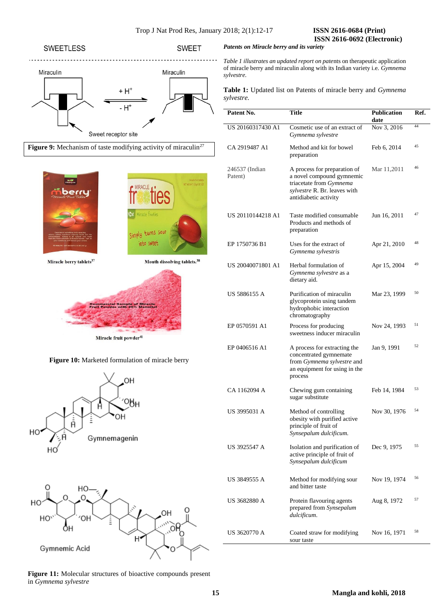### **SWEETLESS SWEET**  $\cdots$ Miraculin Miraculin + H<sup>+</sup> - H<sup>+</sup> Sweet receptor site





Miracle fruit powder<sup>41</sup>







**Figure 11:** Molecular structures of bioactive compounds present in *Gymnema sylvestre*

 **ISSN 2616-0692 (Electronic)** 

*Patents on Miracle berry and its variety* 

*Table 1 illustrates an updated report on pate*nts on therapeutic application of miracle berry and miraculin along with its Indian variety i.e. *Gymnema sylvestre.*

**Table 1:** Updated list on Patents of miracle berry and *Gymnema sylvestre.*

| Patent No.                | Title                                                                                                                                         | <b>Publication</b><br>date | Ref. |
|---------------------------|-----------------------------------------------------------------------------------------------------------------------------------------------|----------------------------|------|
| US 20160317430 A1         | Cosmetic use of an extract of<br>Gymnema sylvestre                                                                                            | Nov 3, 2016                | 44   |
| CA 2919487 A1             | Method and kit for bowel<br>preparation                                                                                                       | Feb 6, 2014                | 45   |
| 246537 (Indian<br>Patent) | A process for preparation of<br>a novel compound gymnemic<br>triacetate from Gymnema<br>sylvestre R. Br. leaves with<br>antidiabetic activity | Mar 11,2011                | 46   |
| US 20110144218 A1         | Taste modified consumable<br>Products and methods of<br>preparation                                                                           | Jun 16, 2011               | 47   |
| EP 1750736 B1             | Uses for the extract of<br>Gymnema sylvestris                                                                                                 | Apr 21, 2010               | 48   |
| US 20040071801 A1         | Herbal formulation of<br>Gymnema sylvestre as a<br>dietary aid.                                                                               | Apr 15, 2004               | 49   |
| US 5886155 A              | Purification of miraculin<br>glycoprotein using tandem<br>hydrophobic interaction<br>chromatography                                           | Mar 23, 1999               | 50   |
| EP 0570591 A1             | Process for producing<br>sweetness inducer miraculin                                                                                          | Nov 24, 1993               | 51   |
| EP 0406516 A1             | A process for extracting the<br>concentrated gymnemate<br>from Gymnema sylvestre and<br>an equipment for using in the<br>process              | Jan 9, 1991                | 52   |
| CA 1162094 A              | Chewing gum containing<br>sugar substitute                                                                                                    | Feb 14, 1984               | 53   |
| US 3995031 A              | Method of controlling<br>obesity with purified active<br>principle of fruit of<br>Synsepalum dulcificum.                                      | Nov 30, 1976               | 54   |
| US 3925547 A              | Isolation and purification of<br>active principle of fruit of<br>Synsepalum dulcificum                                                        | Dec 9, 1975                | 55   |
| US 3849555 A              | Method for modifying sour<br>and bitter taste                                                                                                 | Nov 19, 1974               | 56   |
| US 3682880 A              | Protein flavouring agents<br>prepared from Synsepalum<br>dulcificum.                                                                          | Aug 8, 1972                | 57   |
| US 3620770 A              | Coated straw for modifying<br>sour taste                                                                                                      | Nov 16, 1971               | 58   |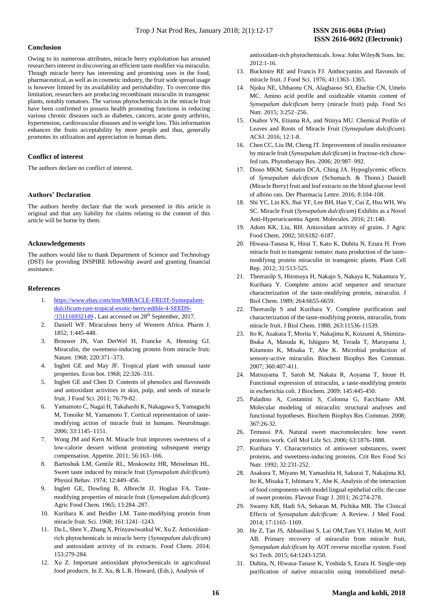#### **Conclusion**

Owing to its numerous attributes, miracle berry exploitation has aroused researchers interest in discovering an efficient taste modifier via miraculin. Though miracle berry has interesting and promising uses in the food, pharmaceutical, as well as in cosmetic industry, the fruit wide spread usage is however limited by its availability and perishability. To overcome this limitation, researchers are producing recombinant miraculin in transgenic plants, notably tomatoes. The various phytochemicals in the miracle fruit have been confirmed to possess health promoting functions in reducing various chronic diseases such as diabetes, cancers, acute gouty arthritis, hypertension, cardiovascular diseases and in weight loss. This information enhances the fruits acceptability by more people and thus, generally promotes its utilization and appreciation in human diets.

#### **Conflict of interest**

The authors declare no conflict of interest.

#### **Authors' Declaration**

The authors hereby declare that the work presented in this article is original and that any liability for claims relating to the content of this article will be borne by them.

#### **Acknowledgements**

The authors would like to thank Department of Science and Technology (DST) for providing INSPIRE fellowship award and granting financial assistance.

#### **References**

- 1. [https://www.ebay.com/itm/MIRACLE-FRUIT-Synsepalum](https://www.ebay.com/itm/MIRACLE-FRUIT-Synsepalum-dulcificum-rare-tropical-exotic-berry-edible-4-SEEDS-/151116932149)[dulcificum-rare-tropical-exotic-berry-edible-4-SEEDS-](https://www.ebay.com/itm/MIRACLE-FRUIT-Synsepalum-dulcificum-rare-tropical-exotic-berry-edible-4-SEEDS-/151116932149) [/151116932149](https://www.ebay.com/itm/MIRACLE-FRUIT-Synsepalum-dulcificum-rare-tropical-exotic-berry-edible-4-SEEDS-/151116932149) **.** Last accessed on 28th September, 2017.
- 2. Daniell WF. Miraculous berry of Western Africa. Pharm J. 1852; 1:445-448.
- 3. Brouwer JN, Van DerWel H, Francke A, Henning GJ. Miraculin, the sweetness-inducing protein from miracle fruit. Nature. 1968; 220:371–373.
- 4. Inglett GE and May JF. Tropical plant with unusual taste properties. Econ bot. 1968; 22:326–331.
- 5. Inglett GE and Chen D. Contents of phenolics and flavonoids and antioxidant activities in skin, pulp, and seeds of miracle fruit. J Food Sci. 2011; 76:79-82.
- 6. Yamamoto C, Nagai H, Takahashi K, Nakagawa S, Yamaguchi M, Tonoike M, Yamamoto T. Cortical representation of tastemodifying action of miracle fruit in humans. NeuroImage. 2006; 33:1145–1151.
- 7. Wong JM and Kern M. Miracle fruit improves sweetness of a low-calorie dessert without promoting subsequent energy compensation. Appetite. 2011; 56:163–166.
- 8. Bartoshuk LM, Gentile RL, Moskowitz HR, Meiselman HL. Sweet taste induced by miracle fruit (*Synsepalum dulcificum*). Physiol Behav. 1974; 12:449–456.
- 9. Inglett GE, Dowling B, Albrecht JJ, Hoglan FA. Tastemodifying properties of miracle fruit (*Synsepalum dulcificum*). Agric Food Chem. 1965; 13:284–287.
- 10. Kurihara K and Beidler LM. Taste-modifying protein from miracle fruit. Sci. 1968; 161:1241–1243.
- 11. Du L, Shen Y, Zhang X, Prinyawiwatkul W, Xu Z. Antioxidantrich phytochemicals in miracle berry (*Synsepalum dulcificum*) and antioxidant activity of its extracts. Food Chem. 2014; 153:279-284.
- 12. Xu Z. Important antioxidant phytochemicals in agricultural food products. In Z. Xu, & L.R. Howard, (Eds.), Analysis of

antioxidant-rich phytochemicals. Iowa: John Wiley& Sons. Inc. 2012:1-16.

- 13. Buckmire RE and Francis FJ. Anthocyanins and flavonols of miracle fruit. J Food Sci. 1976; 41:1363–1365.
- 14. Njoku NE, Ubbaonu CN, Alagbaoso SO, Eluchie CN, Umelo MC. Amino acid profile and oxidizable vitamin content of *Synsepalum dulcificum* berry (miracle fruit) pulp. Food Sci Nutr. 2015; 3:252–256.
- 15. Osabor VN, Etiuma RA, and Ntinya MU. Chemical Profile of Leaves and Roots of Miracle Fruit (*Synsepalum dulcificum*). ACSJ. 2016; 12:1-8.
- 16. Chen CC, Liu IM, Cheng JT. Improvement of insulin resistance by miracle fruit (*Synsepalum dulcificum*) in fructose-rich chowfed rats. Phytotherapy Res. 2006; 20:987–992.
- 17. Dioso MKM, Satsatin DCA, Ching JA. Hypoglycemic effects of *Synsepalum dulcificum* (Schumach. & Thonn.) Daniell (Miracle Berry) fruit and leaf extracts on the blood glucose level of albino rats. Der Pharmacia Lettre. 2016; 8:104-108.
- 18. Shi YC, Lin KS, Jhai YF, Lee BH, Han Y, Cui Z, Hsu WH, Wu SC. Miracle Fruit (*Synsepalum dulcificum*) Exhibits as a Novel Anti-Hyperuricaemia Agent. Molecules. 2016; 21:140.
- 19. Adom KK, Liu, RH. Antioxidant activity of grains. J Agric Food Chem. 2002; 50:6182–6187.
- 20. Hiwasa-Tanasa K, Hirai T, Kato K, Duhita N, Ezura H. From miracle fruit to transgenic tomato: mass production of the tastemodifying protein miraculin in transgenic plants. Plant Cell Rep. 2012; 31:513-525.
- 21. Theerasilp S, Hitotsuya H, Nakajo S, Nakaya K, Nakamura Y, Kurihara Y. Complete amino acid sequence and structure characterization of the taste-modifying protein, miraculin. J Biol Chem. 1989; 264:6655-6659.
- 22. Theerasilp S and Kurihara Y. Complete purification and characterization of the taste-modifying protein, miraculin, from miracle fruit. J Biol Chem. 1988; 263:11536-11539.
- 23. Ito K, Asakura T, Morita Y, Nakajima K, Koizumi A, Shimizu-Ibuka A, Masuda K, Ishiguro M, Terada T, Maruyama J, Kitamoto K, Misaka T, Abe K. Microbial production of sensory-active miraculin. Biochem Biophys Res Commun. 2007; 360:407-411.
- 24. Matsuyama T, Satoh M, Nakata R, Aoyama T, Inoue H. Functional expression of miraculin, a taste-modifying protein in escherichia coli. J Biochem. 2009; 145:445-450.
- 25. Paladino A, Costantini S, Colonna G, Facchiano AM. Molecular modeling of miraculin: structural analyses and functional hypotheses. Biochem Biophys Res Commun. 2008;  $367.26 - 32.$
- 26. Temussi PA. Natural sweet macromolecules: how sweet proteins work. Cell Mol Life Sci. 2006; 63:1876-1888.
- 27. Kurihara Y. Characteristics of antisweet substances, sweet proteins, and sweetness-inducing proteins. Crit Rev Food Sci Nutr. 1992; 32:231-252.
- 28. Asakura T, Miyano M, Yamashita H, Sakurai T, Nakajima KI, Ito K, Misaka T, Ishimaru Y, Abe K. Analysis of the interaction of food components with model lingual epithelial cells: the case of sweet proteins. Flavour Fragr J. 2011; 26:274-278.
- 29. Swamy KB, Hadi SA, Sekaran M, Pichika MR. The Clinical Effects of *Synsepalum dulcificum:* A Review. J Med Food. 2014; 17:1165–1169.
- 30. He Z, Tan JS, Abbasiliasi S, Lai OM,Tam YJ, Halim M, Ariff AB. Primary recovery of miraculin from miracle fruit, *Synsepalum dulcificum* by AOT reverse micellar system. Food Sci Tech. 2015; 64:1243-1250.
- 31. Duhita, N, Hiwasa-Tanase K, Yoshida S, Ezura H. Single-step purification of native miraculin using immobilized metal-